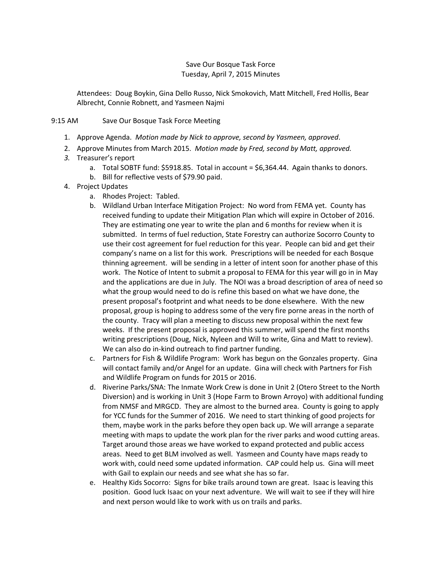## Save Our Bosque Task Force Tuesday, April 7, 2015 Minutes

Attendees: Doug Boykin, Gina Dello Russo, Nick Smokovich, Matt Mitchell, Fred Hollis, Bear Albrecht, Connie Robnett, and Yasmeen Najmi

## 9:15 AM Save Our Bosque Task Force Meeting

- 1. Approve Agenda. *Motion made by Nick to approve, second by Yasmeen, approved*.
- 2. Approve Minutes from March 2015. *Motion made by Fred, second by Matt, approved.*
- *3.* Treasurer's report
	- a. Total SOBTF fund: \$5918.85. Total in account = \$6,364.44. Again thanks to donors.
	- b. Bill for reflective vests of \$79.90 paid.
- 4. Project Updates
	- a. Rhodes Project: Tabled.
	- b. Wildland Urban Interface Mitigation Project: No word from FEMA yet. County has received funding to update their Mitigation Plan which will expire in October of 2016. They are estimating one year to write the plan and 6 months for review when it is submitted. In terms of fuel reduction, State Forestry can authorize Socorro County to use their cost agreement for fuel reduction for this year. People can bid and get their company's name on a list for this work. Prescriptions will be needed for each Bosque thinning agreement. will be sending in a letter of intent soon for another phase of this work. The Notice of Intent to submit a proposal to FEMA for this year will go in in May and the applications are due in July. The NOI was a broad description of area of need so what the group would need to do is refine this based on what we have done, the present proposal's footprint and what needs to be done elsewhere. With the new proposal, group is hoping to address some of the very fire porne areas in the north of the county. Tracy will plan a meeting to discuss new proposal within the next few weeks. If the present proposal is approved this summer, will spend the first months writing prescriptions (Doug, Nick, Nyleen and Will to write, Gina and Matt to review). We can also do in-kind outreach to find partner funding.
	- c. Partners for Fish & Wildlife Program: Work has begun on the Gonzales property. Gina will contact family and/or Angel for an update. Gina will check with Partners for Fish and Wildlife Program on funds for 2015 or 2016.
	- d. Riverine Parks/SNA: The Inmate Work Crew is done in Unit 2 (Otero Street to the North Diversion) and is working in Unit 3 (Hope Farm to Brown Arroyo) with additional funding from NMSF and MRGCD. They are almost to the burned area. County is going to apply for YCC funds for the Summer of 2016. We need to start thinking of good projects for them, maybe work in the parks before they open back up. We will arrange a separate meeting with maps to update the work plan for the river parks and wood cutting areas. Target around those areas we have worked to expand protected and public access areas. Need to get BLM involved as well. Yasmeen and County have maps ready to work with, could need some updated information. CAP could help us. Gina will meet with Gail to explain our needs and see what she has so far.
	- e. Healthy Kids Socorro: Signs for bike trails around town are great. Isaac is leaving this position. Good luck Isaac on your next adventure. We will wait to see if they will hire and next person would like to work with us on trails and parks.